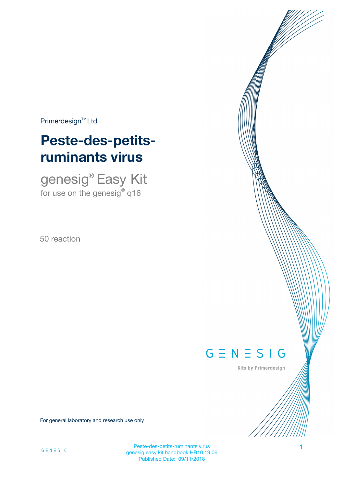$Primerdesign^{\text{TM}}$ Ltd

# **Peste-des-petitsruminants virus**

genesig® Easy Kit for use on the genesig $^\circ$  q16

50 reaction

# $G \equiv N \equiv S \mid G$

Kits by Primerdesign

For general laboratory and research use only

Peste-des-petits-ruminants virus 1 genesig easy kit handbook HB10.19.06 Published Date: 09/11/2018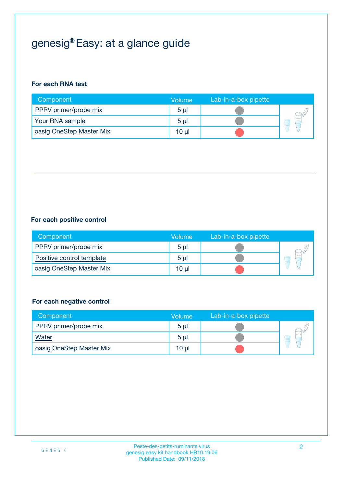## genesig® Easy: at a glance guide

#### **For each RNA test**

| Component                | <b>Volume</b>  | Lab-in-a-box pipette |  |
|--------------------------|----------------|----------------------|--|
| PPRV primer/probe mix    | 5 <sub>µ</sub> |                      |  |
| Your RNA sample          | 5 <sub>µ</sub> |                      |  |
| oasig OneStep Master Mix | 10 µl          |                      |  |

#### **For each positive control**

| Component                 | Volume         | Lab-in-a-box pipette |  |
|---------------------------|----------------|----------------------|--|
| PPRV primer/probe mix     | 5 <sub>µ</sub> |                      |  |
| Positive control template | 5 <sub>µ</sub> |                      |  |
| oasig OneStep Master Mix  | 10 µl          |                      |  |

#### **For each negative control**

| Component                | Volume         | Lab-in-a-box pipette |    |
|--------------------------|----------------|----------------------|----|
| PPRV primer/probe mix    | 5 <sub>µ</sub> |                      |    |
| <b>Water</b>             | 5 <sub>µ</sub> |                      | ÷. |
| oasig OneStep Master Mix | 10 µl          |                      |    |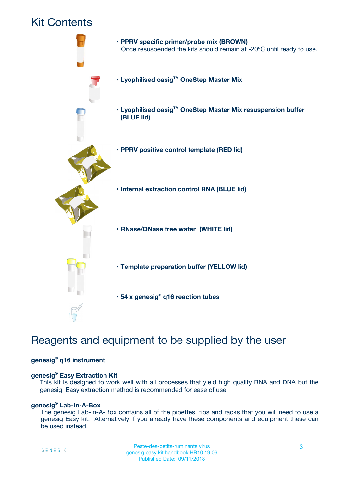## Kit Contents



## Reagents and equipment to be supplied by the user

#### **genesig® q16 instrument**

#### **genesig® Easy Extraction Kit**

This kit is designed to work well with all processes that yield high quality RNA and DNA but the genesig Easy extraction method is recommended for ease of use.

#### **genesig® Lab-In-A-Box**

The genesig Lab-In-A-Box contains all of the pipettes, tips and racks that you will need to use a genesig Easy kit. Alternatively if you already have these components and equipment these can be used instead.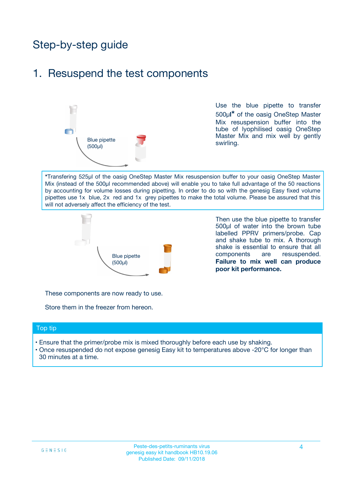## Step-by-step guide

### 1. Resuspend the test components



Use the blue pipette to transfer 500µ**l\*** of the oasig OneStep Master Mix resuspension buffer into the tube of lyophilised oasig OneStep Master Mix and mix well by gently swirling.

**\***Transfering 525µl of the oasig OneStep Master Mix resuspension buffer to your oasig OneStep Master Mix (instead of the 500µl recommended above) will enable you to take full advantage of the 50 reactions by accounting for volume losses during pipetting. In order to do so with the genesig Easy fixed volume pipettes use 1x blue, 2x red and 1x grey pipettes to make the total volume. Please be assured that this will not adversely affect the efficiency of the test.



Then use the blue pipette to transfer 500µl of water into the brown tube labelled PPRV primers/probe. Cap and shake tube to mix. A thorough shake is essential to ensure that all components are resuspended. **Failure to mix well can produce poor kit performance.**

These components are now ready to use.

Store them in the freezer from hereon.

#### Top tip

- Ensure that the primer/probe mix is mixed thoroughly before each use by shaking.
- Once resuspended do not expose genesig Easy kit to temperatures above -20°C for longer than 30 minutes at a time.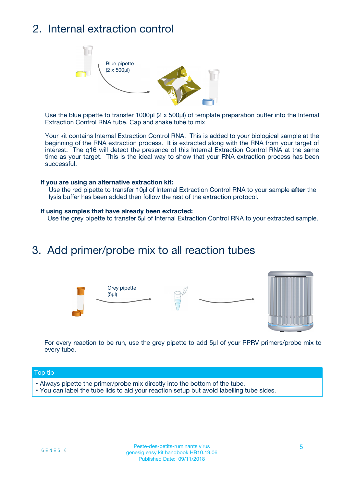## 2. Internal extraction control



Use the blue pipette to transfer 1000µl (2 x 500µl) of template preparation buffer into the Internal Extraction Control RNA tube. Cap and shake tube to mix.

Your kit contains Internal Extraction Control RNA. This is added to your biological sample at the beginning of the RNA extraction process. It is extracted along with the RNA from your target of interest. The q16 will detect the presence of this Internal Extraction Control RNA at the same time as your target. This is the ideal way to show that your RNA extraction process has been successful.

#### **If you are using an alternative extraction kit:**

Use the red pipette to transfer 10µl of Internal Extraction Control RNA to your sample **after** the lysis buffer has been added then follow the rest of the extraction protocol.

#### **If using samples that have already been extracted:**

Use the grey pipette to transfer 5µl of Internal Extraction Control RNA to your extracted sample.

### 3. Add primer/probe mix to all reaction tubes





For every reaction to be run, use the grey pipette to add 5µl of your PPRV primers/probe mix to every tube.

#### Top tip

- Always pipette the primer/probe mix directly into the bottom of the tube.
- You can label the tube lids to aid your reaction setup but avoid labelling tube sides.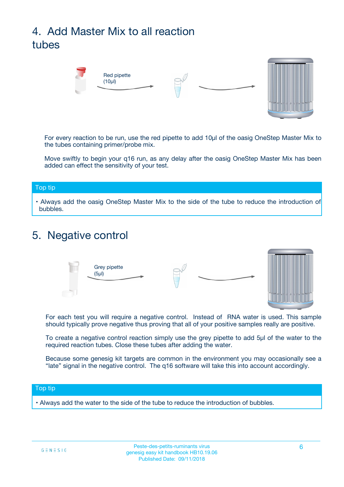## 4. Add Master Mix to all reaction tubes



For every reaction to be run, use the red pipette to add 10µl of the oasig OneStep Master Mix to the tubes containing primer/probe mix.

Move swiftly to begin your q16 run, as any delay after the oasig OneStep Master Mix has been added can effect the sensitivity of your test.

#### Top tip

**•** Always add the oasig OneStep Master Mix to the side of the tube to reduce the introduction of bubbles.

### 5. Negative control



For each test you will require a negative control. Instead of RNA water is used. This sample should typically prove negative thus proving that all of your positive samples really are positive.

To create a negative control reaction simply use the grey pipette to add 5µl of the water to the required reaction tubes. Close these tubes after adding the water.

Because some genesig kit targets are common in the environment you may occasionally see a "late" signal in the negative control. The q16 software will take this into account accordingly.

#### Top tip

**•** Always add the water to the side of the tube to reduce the introduction of bubbles.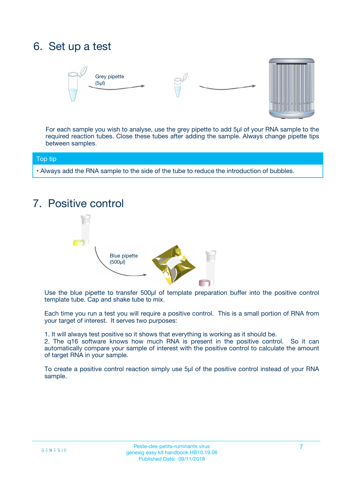## 6. Set up a test





For each sample you wish to analyse, use the grey pipette to add 5µl of your RNA sample to the required reaction tubes. Close these tubes after adding the sample. Always change pipette tips between samples.

#### Top tip

**•** Always add the RNA sample to the side of the tube to reduce the introduction of bubbles.

## 7. Positive control



Use the blue pipette to transfer 500µl of template preparation buffer into the positive control template tube. Cap and shake tube to mix.

Each time you run a test you will require a positive control. This is a small portion of RNA from your target of interest. It serves two purposes:

1. It will always test positive so it shows that everything is working as it should be.

2. The q16 software knows how much RNA is present in the positive control. So it can automatically compare your sample of interest with the positive control to calculate the amount of target RNA in your sample.

To create a positive control reaction simply use 5µl of the positive control instead of your RNA sample.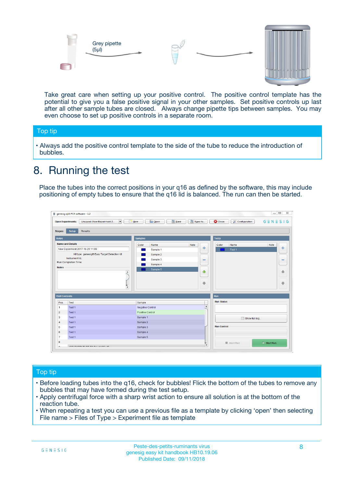



Take great care when setting up your positive control. The positive control template has the potential to give you a false positive signal in your other samples. Set positive controls up last after all other sample tubes are closed. Always change pipette tips between samples. You may even choose to set up positive controls in a separate room.

#### Top tip

**•** Always add the positive control template to the side of the tube to reduce the introduction of bubbles.

## 8. Running the test

Place the tubes into the correct positions in your q16 as defined by the software, this may include positioning of empty tubes to ensure that the q16 lid is balanced. The run can then be started.

|                      | genesig q16 PCR software - 1.2                                                    |                                            |                         |                                 | $= 0$<br>$\Sigma\!3$         |
|----------------------|-----------------------------------------------------------------------------------|--------------------------------------------|-------------------------|---------------------------------|------------------------------|
|                      | Unsaved (New Experiment 2<br>$\overline{\phantom{a}}$<br><b>Open Experiments:</b> | <b>E</b> Open<br><b>Save</b><br>$\Box$ New | Save As                 | <b>C</b> Close<br>Configuration | $G \equiv N \equiv S \mid G$ |
| <b>Stages:</b>       | Setup<br><b>Results</b>                                                           |                                            |                         |                                 |                              |
| <b>Notes</b>         |                                                                                   | <b>Samples</b>                             |                         | <b>Tests</b>                    |                              |
|                      | <b>Name and Details</b>                                                           | Color<br>Name                              | Note                    | Color<br>Name                   | Note                         |
|                      | New Experiment 2017-10-26 11:06                                                   | Sample 1                                   | 4                       | Test 1                          | 4                            |
|                      | Kit type: genesig® Easy Target Detection kit                                      | Sample 2                                   |                         |                                 |                              |
|                      | Instrument Id.:                                                                   | Sample 3                                   | $\equiv$                |                                 | $\equiv$                     |
|                      | <b>Run Completion Time:</b>                                                       | Sample 4                                   |                         |                                 |                              |
| <b>Notes</b>         | $\blacktriangle$                                                                  | Sample 5                                   | ♦                       |                                 | 傦                            |
|                      | $\overline{\mathbf{v}}$                                                           |                                            | ÷                       |                                 | ⊕                            |
| <b>Well Contents</b> |                                                                                   |                                            |                         | Run                             |                              |
| Pos.                 | Test                                                                              | Sample                                     |                         | <b>Run Status</b>               |                              |
| $\blacktriangleleft$ | Test 1                                                                            | Negative Control                           | $\blacktriangle$        |                                 |                              |
| $\overline{2}$       | Test 1                                                                            | Positive Control                           |                         |                                 |                              |
| 3                    | Test 1                                                                            | Sample 1                                   |                         | Show full log                   |                              |
| $\overline{4}$       | Test 1                                                                            | Sample 2                                   |                         |                                 |                              |
| 5                    | Test 1                                                                            | Sample 3                                   |                         | <b>Run Control</b>              |                              |
| 6                    | Test 1                                                                            | Sample 4                                   |                         |                                 |                              |
| $\overline{7}$       | Test 1                                                                            | Sample 5                                   |                         |                                 |                              |
| 8                    |                                                                                   |                                            |                         | Abort Run                       | $\triangleright$ Start Run   |
| Lo.                  | <b>INN FURTY TURE TO BUILDING UP.</b>                                             |                                            | $\overline{\mathbf{v}}$ |                                 |                              |

#### Top tip

- Before loading tubes into the q16, check for bubbles! Flick the bottom of the tubes to remove any bubbles that may have formed during the test setup.
- Apply centrifugal force with a sharp wrist action to ensure all solution is at the bottom of the reaction tube.
- When repeating a test you can use a previous file as a template by clicking 'open' then selecting File name > Files of Type > Experiment file as template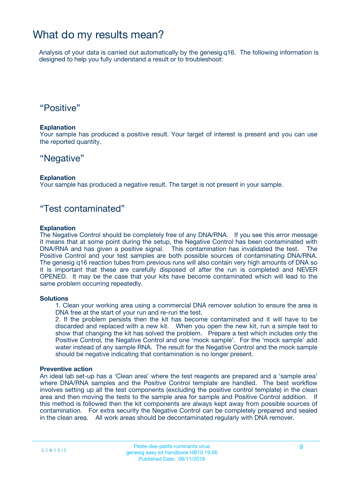### What do my results mean?

Analysis of your data is carried out automatically by the genesig q16. The following information is designed to help you fully understand a result or to troubleshoot:

### "Positive"

#### **Explanation**

Your sample has produced a positive result. Your target of interest is present and you can use the reported quantity.

### "Negative"

#### **Explanation**

Your sample has produced a negative result. The target is not present in your sample.

### "Test contaminated"

#### **Explanation**

The Negative Control should be completely free of any DNA/RNA. If you see this error message it means that at some point during the setup, the Negative Control has been contaminated with DNA/RNA and has given a positive signal. This contamination has invalidated the test. The Positive Control and your test samples are both possible sources of contaminating DNA/RNA. The genesig q16 reaction tubes from previous runs will also contain very high amounts of DNA so it is important that these are carefully disposed of after the run is completed and NEVER OPENED. It may be the case that your kits have become contaminated which will lead to the same problem occurring repeatedly.

#### **Solutions**

1. Clean your working area using a commercial DNA remover solution to ensure the area is DNA free at the start of your run and re-run the test.

2. If the problem persists then the kit has become contaminated and it will have to be discarded and replaced with a new kit. When you open the new kit, run a simple test to show that changing the kit has solved the problem. Prepare a test which includes only the Positive Control, the Negative Control and one 'mock sample'. For the 'mock sample' add water instead of any sample RNA. The result for the Negative Control and the mock sample should be negative indicating that contamination is no longer present.

#### **Preventive action**

An ideal lab set-up has a 'Clean area' where the test reagents are prepared and a 'sample area' where DNA/RNA samples and the Positive Control template are handled. The best workflow involves setting up all the test components (excluding the positive control template) in the clean area and then moving the tests to the sample area for sample and Positive Control addition. If this method is followed then the kit components are always kept away from possible sources of contamination. For extra security the Negative Control can be completely prepared and sealed in the clean area. All work areas should be decontaminated regularly with DNA remover.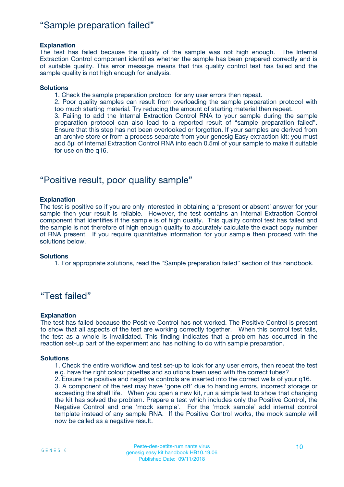### "Sample preparation failed"

#### **Explanation**

The test has failed because the quality of the sample was not high enough. The Internal Extraction Control component identifies whether the sample has been prepared correctly and is of suitable quality. This error message means that this quality control test has failed and the sample quality is not high enough for analysis.

#### **Solutions**

1. Check the sample preparation protocol for any user errors then repeat.

2. Poor quality samples can result from overloading the sample preparation protocol with too much starting material. Try reducing the amount of starting material then repeat.

3. Failing to add the Internal Extraction Control RNA to your sample during the sample preparation protocol can also lead to a reported result of "sample preparation failed". Ensure that this step has not been overlooked or forgotten. If your samples are derived from an archive store or from a process separate from your genesig Easy extraction kit; you must add 5µl of Internal Extraction Control RNA into each 0.5ml of your sample to make it suitable for use on the q16.

### "Positive result, poor quality sample"

#### **Explanation**

The test is positive so if you are only interested in obtaining a 'present or absent' answer for your sample then your result is reliable. However, the test contains an Internal Extraction Control component that identifies if the sample is of high quality. This quality control test has failed and the sample is not therefore of high enough quality to accurately calculate the exact copy number of RNA present. If you require quantitative information for your sample then proceed with the solutions below.

#### **Solutions**

1. For appropriate solutions, read the "Sample preparation failed" section of this handbook.

### "Test failed"

#### **Explanation**

The test has failed because the Positive Control has not worked. The Positive Control is present to show that all aspects of the test are working correctly together. When this control test fails, the test as a whole is invalidated. This finding indicates that a problem has occurred in the reaction set-up part of the experiment and has nothing to do with sample preparation.

#### **Solutions**

- 1. Check the entire workflow and test set-up to look for any user errors, then repeat the test e.g. have the right colour pipettes and solutions been used with the correct tubes?
- 2. Ensure the positive and negative controls are inserted into the correct wells of your q16.

3. A component of the test may have 'gone off' due to handing errors, incorrect storage or exceeding the shelf life. When you open a new kit, run a simple test to show that changing the kit has solved the problem. Prepare a test which includes only the Positive Control, the Negative Control and one 'mock sample'. For the 'mock sample' add internal control template instead of any sample RNA. If the Positive Control works, the mock sample will now be called as a negative result.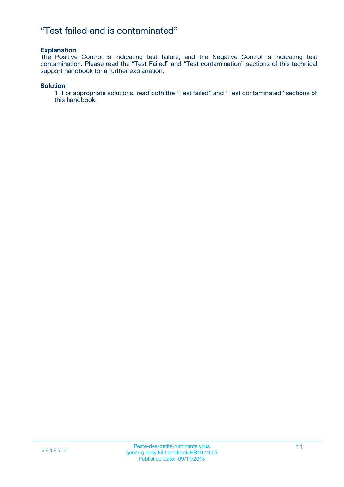### "Test failed and is contaminated"

#### **Explanation**

The Positive Control is indicating test failure, and the Negative Control is indicating test contamination. Please read the "Test Failed" and "Test contamination" sections of this technical support handbook for a further explanation.

#### **Solution**

1. For appropriate solutions, read both the "Test failed" and "Test contaminated" sections of this handbook.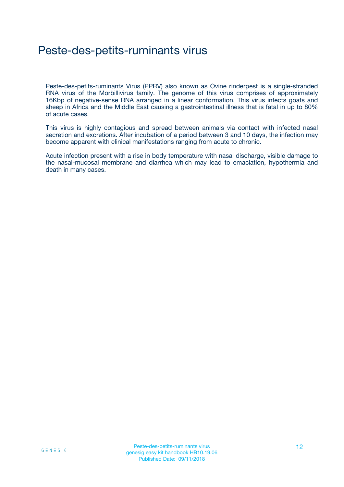## Peste-des-petits-ruminants virus

Peste-des-petits-ruminants Virus (PPRV) also known as Ovine rinderpest is a single-stranded RNA virus of the Morbillivirus family. The genome of this virus comprises of approximately 16Kbp of negative-sense RNA arranged in a linear conformation. This virus infects goats and sheep in Africa and the Middle East causing a gastrointestinal illness that is fatal in up to 80% of acute cases.

This virus is highly contagious and spread between animals via contact with infected nasal secretion and excretions. After incubation of a period between 3 and 10 days, the infection may become apparent with clinical manifestations ranging from acute to chronic.

Acute infection present with a rise in body temperature with nasal discharge, visible damage to the nasal-mucosal membrane and diarrhea which may lead to emaciation, hypothermia and death in many cases.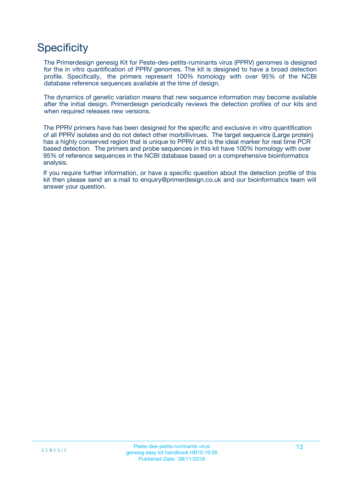## **Specificity**

The Primerdesign genesig Kit for Peste-des-petits-ruminants virus (PPRV) genomes is designed for the in vitro quantification of PPRV genomes. The kit is designed to have a broad detection profile. Specifically, the primers represent 100% homology with over 95% of the NCBI database reference sequences available at the time of design.

The dynamics of genetic variation means that new sequence information may become available after the initial design. Primerdesign periodically reviews the detection profiles of our kits and when required releases new versions.

The PPRV primers have has been designed for the specific and exclusive in vitro quantification of all PPRV isolates and do not detect other morbillivirues. The target sequence (Large protein) has a highly conserved region that is unique to PPRV and is the ideal marker for real time PCR based detection. The primers and probe sequences in this kit have 100% homology with over 95% of reference sequences in the NCBI database based on a comprehensive bioinformatics analysis.

If you require further information, or have a specific question about the detection profile of this kit then please send an e.mail to enquiry@primerdesign.co.uk and our bioinformatics team will answer your question.